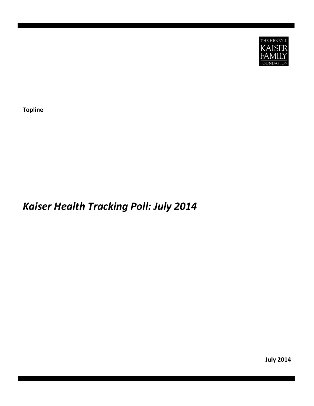

**Topline**

# *Kaiser Health Tracking Poll: July 2014*

**July 2014**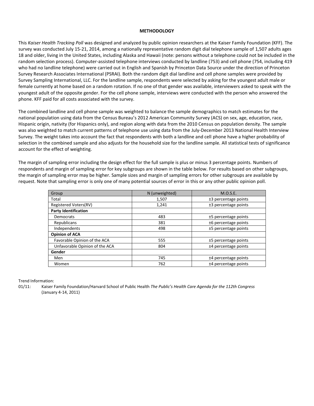## **METHODOLOGY**

This *Kaiser Health Tracking Poll* was designed and analyzed by public opinion researchers at the Kaiser Family Foundation (KFF). The survey was conducted July 15-21, 2014, among a nationally representative random digit dial telephone sample of 1,507 adults ages 18 and older, living in the United States, including Alaska and Hawaii (note: persons without a telephone could not be included in the random selection process). Computer-assisted telephone interviews conducted by landline (753) and cell phone (754, including 419 who had no landline telephone) were carried out in English and Spanish by Princeton Data Source under the direction of Princeton Survey Research Associates International (PSRAI). Both the random digit dial landline and cell phone samples were provided by Survey Sampling International, LLC. For the landline sample, respondents were selected by asking for the youngest adult male or female currently at home based on a random rotation. If no one of that gender was available, interviewers asked to speak with the youngest adult of the opposite gender. For the cell phone sample, interviews were conducted with the person who answered the phone. KFF paid for all costs associated with the survey.

The combined landline and cell phone sample was weighted to balance the sample demographics to match estimates for the national population using data from the Census Bureau's 2012 American Community Survey (ACS) on sex, age, education, race, Hispanic origin, nativity (for Hispanics only), and region along with data from the 2010 Census on population density. The sample was also weighted to match current patterns of telephone use using data from the July-December 2013 National Health Interview Survey. The weight takes into account the fact that respondents with both a landline and cell phone have a higher probability of selection in the combined sample and also adjusts for the household size for the landline sample. All statistical tests of significance account for the effect of weighting.

The margin of sampling error including the design effect for the full sample is plus or minus 3 percentage points. Numbers of respondents and margin of sampling error for key subgroups are shown in the table below. For results based on other subgroups, the margin of sampling error may be higher. Sample sizes and margin of sampling errors for other subgroups are available by request. Note that sampling error is only one of many potential sources of error in this or any other public opinion poll.

| Group                          | N (unweighted) | M.O.S.E.               |
|--------------------------------|----------------|------------------------|
| Total                          | 1,507          | ±3 percentage points   |
| Registered Voters(RV)          | 1,241          | $±3$ percentage points |
| <b>Party Identification</b>    |                |                        |
| <b>Democrats</b>               | 483            | ±5 percentage points   |
| Republicans                    | 381            | ±6 percentage points   |
| Independents                   | 498            | ±5 percentage points   |
| <b>Opinion of ACA</b>          |                |                        |
| Favorable Opinion of the ACA   | 555            | ±5 percentage points   |
| Unfavorable Opinion of the ACA | 804            | $±4$ percentage points |
| Gender                         |                |                        |
| Men                            | 745            | $±4$ percentage points |
| Women                          | 762            | $±4$ percentage points |

Trend Information:

01/11: Kaiser Family Foundation/Harvard School of Public Health *The Public's Health Care Agenda for the 112th Congress* (January 4-14, 2011)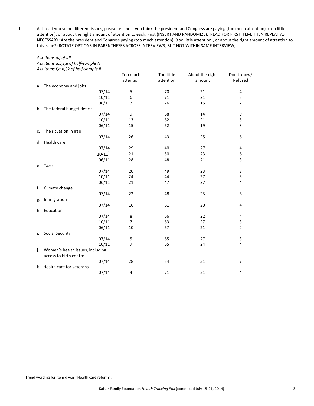1. As I read you some different issues, please tell me if you think the president and Congress are paying (too much attention), (too little attention), or about the right amount of attention to each. First (INSERT AND RANDOMIZE). READ FOR FIRST ITEM, THEN REPEAT AS NECESSARY: Are the president and Congress paying (too much attention), (too little attention), or about the right amount of attention to this issue? (ROTATE OPTIONS IN PARENTHESES ACROSS INTERVIEWS, BUT NOT WITHIN SAME INTERVIEW)

#### *Ask items d,j of all Ask items a,b,c,e of half-sample A Ask items f,g,h,i,k of half-sample B*

|    |                                                             | Too much       | Too little | About the right | Don't know/    |
|----|-------------------------------------------------------------|----------------|------------|-----------------|----------------|
|    |                                                             | attention      | attention  | amount          | Refused        |
|    | a. The economy and jobs                                     |                |            |                 |                |
|    | 07/14                                                       | 5              | 70         | 21              | 4              |
|    | 10/11                                                       | 6              | 71         | 21              | 3              |
|    | 06/11                                                       | 7              | 76         | 15              | $\overline{2}$ |
|    | b. The federal budget deficit                               |                |            |                 |                |
|    | 07/14                                                       | 9              | 68         | 14              | 9              |
|    | 10/11                                                       | 13             | 62         | 21              | 5              |
|    | 06/11                                                       | 15             | 62         | 19              | 3              |
| c. | The situation in Iraq                                       |                |            |                 |                |
|    | 07/14                                                       | 26             | 43         | 25              | 6              |
|    | d. Health care                                              |                |            |                 |                |
|    | 07/14                                                       | 29             | 40         | 27              | 4              |
|    | $10/11^{1}$                                                 | 21             | 50         | 23              | 6              |
|    | 06/11                                                       | 28             | 48         | 21              | 3              |
| e. | <b>Taxes</b>                                                |                |            |                 |                |
|    | 07/14                                                       | 20             | 49         | 23              | 8              |
|    | 10/11                                                       | 24             | 44         | 27              | 5              |
|    | 06/11                                                       | 21             | 47         | 27              | 4              |
| f. | Climate change                                              |                |            |                 |                |
|    | 07/14                                                       | 22             | 48         | 25              | 6              |
| g. | Immigration                                                 |                |            |                 |                |
|    | 07/14                                                       | 16             | 61         | 20              | 4              |
| h. | Education                                                   |                |            |                 |                |
|    | 07/14                                                       | 8              | 66         | 22              | 4              |
|    | 10/11                                                       | $\overline{7}$ | 63         | 27              | 3              |
|    | 06/11                                                       | 10             | 67         | 21              | $\overline{2}$ |
| i. | <b>Social Security</b>                                      |                |            |                 |                |
|    | 07/14                                                       | 5              | 65         | 27              | 3              |
|    | 10/11                                                       | $\overline{7}$ | 65         | 24              | $\overline{4}$ |
| j. | Women's health issues, including<br>access to birth control |                |            |                 |                |
|    | 07/14                                                       | 28             | 34         | 31              | $\overline{7}$ |
|    | k. Health care for veterans                                 |                |            |                 |                |
|    | 07/14                                                       | 4              | 71         | 21              | 4              |
|    |                                                             |                |            |                 |                |

 $\frac{1}{1}$ Trend wording for item d was "Health care reform".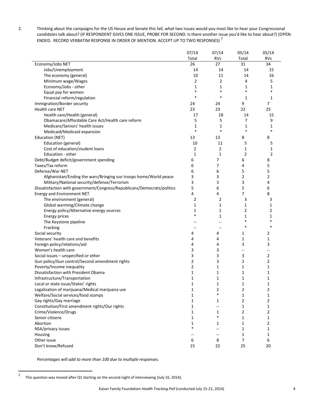2. Thinking about the campaigns for the US House and Senate this fall, what two issues would you most like to hear your Congressional candidates talk about? (IF RESPONDENT GIVES ONE ISSUE, PROBE FOR SECOND: Is there another issue you'd like to hear about?) (OPEN-ENDED. RECORD VERBATIM RESPONSE IN ORDER OF MENTION. ACCEPT UP TO TWO RESPONSES)<sup>2</sup>

|                                                                         | 07/14          | 07/14          | 05/14          | 05/14          |
|-------------------------------------------------------------------------|----------------|----------------|----------------|----------------|
|                                                                         | Total          | <b>RVs</b>     | Total          | <b>RVs</b>     |
| Economy/Jobs NET                                                        | 26             | 27             | 31             | 34             |
| Jobs/Unemployment                                                       | 14             | 14             | 14             | 15             |
| The economy (general)                                                   | 10             | 11             | 14             | 16             |
| Minimum wage/Wages                                                      | 2              | $\overline{2}$ | 4              | 5              |
| Economy/Jobs - other                                                    | 1              | 1              | 1              | 1              |
| Equal pay for women                                                     | $\ast$         | $\ast$         | $\ast$         |                |
| Financial reform/regulation                                             | $\ast$         | $\ast$         | 1              | 1              |
| Immigration/Border security                                             | 24             | 24             | 9              | 7              |
| Health care NET                                                         | 23             | 23             | 22             | 25             |
| Health care/Health (general)                                            | 17             | 18             | 14             | 15             |
| Obamacare/Affordable Care Act/Health care reform                        | 5              | 5              | 7              | 9              |
| Medicare/Seniors' health issues                                         | 1              | 1              | 1              | 1              |
| Medicaid/Medicaid expansion                                             | $\ast$         | $\ast$         | $\ast$         | $\ast$         |
| Education (NET)                                                         | 13             | 13             | 8              | 8              |
| Education (general)                                                     | 10             | 11             | 5              | 5              |
| Cost of education/student loans                                         | $\overline{2}$ | $\overline{2}$ | 1              | 1              |
| Education - other                                                       | $\mathbf{1}$   | $\mathbf{1}$   | $\overline{2}$ | $\overline{2}$ |
| Debt/Budget deficit/government spending                                 | 6              | 7              | 6              | 8              |
| Taxes/Tax reform                                                        | 6              | 7              | 4              | 5              |
|                                                                         |                |                |                |                |
| Defense/War NET                                                         | 6              | 6              | 5              | 5              |
| Afghanistan/Ending the wars/Bringing our troops home/World peace        | 3              | 3              | 2              | $\overline{2}$ |
| Military/National security/defense/Terrorism                            | 3              | 3              | 3              | 4              |
| Dissatisfaction with government/Congress/Republicans/Democrats/politics | 5              | 6              | 5              | 6              |
| <b>Energy and Environment NET</b>                                       | 4              | 4              | 7              | 8              |
| The environment (general)                                               | 2              | 2              | 3              | 3              |
| Global warming/Climate change                                           | 1              | 1              | 1              | 1              |
| Energy policy/Alternative energy sources                                | 1<br>$\ast$    | 1              | 2              | $\overline{2}$ |
| Energy prices                                                           |                | $\mathbf{1}$   | 1<br>$\ast$    | 1<br>$\ast$    |
| The Keystone pipeline                                                   |                | --             |                |                |
| Fracking                                                                |                | --             | $\ast$         | $\ast$         |
| Social security                                                         | 4              | 4              | 1              | $\overline{2}$ |
| Veterans' health care and benefits                                      | 4              | 4              | 1              | 1              |
| Foreign policy/relations/aid                                            | 4              | 4              | 3              | 3              |
| Women's health care                                                     | 3              | 3              | --             | --             |
| Social issues - unspecified or other                                    | 3              | 3              | 3              | 2              |
| Gun policy/Gun control/Second amendment rights                          | 2              | 3              | 2              | 2              |
| Poverty/Income inequality                                               | $\overline{2}$ | 1              | 1              | 1              |
| Dissatisfaction with President Obama                                    | 1              | 1              | 1              | 1              |
| Infrastructure/Transportation                                           | 1              | $\mathbf{1}$   | $\mathbf{1}$   | $\mathbf{1}$   |
| Local or state issue/States' rights                                     | 1              | 1              | $\mathbf{1}$   | 1              |
| Legalization of marijuana/Medical marijuana use                         | 1              | $\overline{2}$ | 2              | 2              |
| Welfare/Social services/food stamps                                     | 1              | $\ast$         | 1              | 1              |
| Gay rights/Gay marriage                                                 | 1              | 1              | 2              | $\overline{2}$ |
| Constitution/First amendment rights/Our rights                          | 1              | $-$            | 1              | 1              |
| Crime/Violence/Drugs                                                    | 1              | 1              | 2              | $\overline{2}$ |
| Senior citizens                                                         | 1              | $\ast$         | 1              | 1              |
| Abortion                                                                | 1              | 1              | 1              | 2              |
| NSA/privacy issues                                                      | $\ast$         | --             | 1              | 1              |
| Housing                                                                 |                | $-$            | 1              | 1              |
| Other issue                                                             | 6              | 8              | 7              | 6              |
| Don't know/Refused                                                      | 15             | 22             | 25             | 20             |

*Percentages will add to more than 100 due to multiple responses.*

 $\overline{2}$ This question was moved after Q1 starting on the second night of interviewing (July 16, 2014).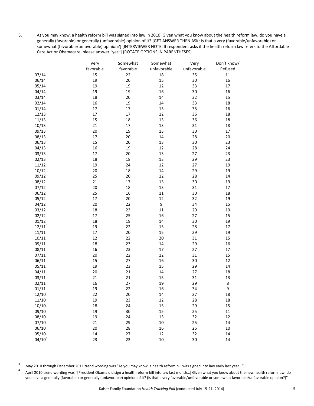3. As you may know, a health reform bill was signed into law in 2010. Given what you know about the health reform law, do you have a generally (favorable) or generally (unfavorable) opinion of it? [GET ANSWER THEN ASK: Is that a very (favorable/unfavorable) or somewhat (favorable/unfavorable) opinion?] [INTERVIEWER NOTE: If respondent asks if the health reform law refers to the Affordable Care Act or Obamacare, please answer "yes"] (ROTATE OPTIONS IN PARENTHESES)

|                | Very      | Somewhat  | Somewhat    | Very        | Don't know/ |
|----------------|-----------|-----------|-------------|-------------|-------------|
|                | favorable | favorable | unfavorable | unfavorable | Refused     |
| 07/14          | 15        | 22        | 18          | 35          | 11          |
| 06/14          | 19        | 20        | 15          | 30          | 16          |
| 05/14          | 19        | 19        | 12          | 33          | 17          |
| 04/14          | 19        | 19        | 16          | 30          | 16          |
| 03/14          | 18        | 20        | 14          | 32          | 15          |
| 02/14          | 16        | 19        | 14          | 33          | 18          |
| 01/14          | 17        | 17        | 15          | 35          | 16          |
| 12/13          | 17        | 17        | 12          | 36          | 18          |
| 11/13          | 15        | 18        | 13          | 36          | 18          |
| 10/13          | 21        | 17        | 13          | 31          | 18          |
| 09/13          | 20        | 19        | 13          | 30          | 17          |
| 08/13          | 17        | 20        | 14          | 28          | 20          |
| 06/13          | 15        | 20        | 13          | 30          | 23          |
| 04/13          | 16        | 19        | 12          | 28          | 24          |
| 03/13          | 17        | 20        | 13          | 27          | 23          |
| 02/13          | 18        | 18        | 13          | 29          | 23          |
| 11/12          | 19        | 24        | 12          | 27          | 19          |
| 10/12          | 20        | 18        | 14          | 29          | 19          |
| 09/12          | 25        | 20        | 12          | 28          | 14          |
| 08/12          | 21        | 17        | 13          | 30          | 19          |
| 07/12          | $20\,$    | 18        | 13          | 31          | 17          |
| 06/12          | 25        | 16        | $11\,$      | 30          | 18          |
| 05/12          | 17        | 20        | 12          | 32          | 19          |
| 04/12          | $20\,$    | 22        | 9           | 34          | 15          |
| 03/12          | 18        | 23        | $11\,$      | 29          | 19          |
| 02/12          | 17        | 25        | 16          | 27          | 15          |
| 01/12          | 18        | 19        | 14          | 30          | 19          |
| $12/11^3$      | 19        | 22        | 15          | 28          | 17          |
| 11/11          | 17        | 20        | 15          | 29          | 19          |
| 10/11          | 12        | 22        | $20\,$      | 31          | 15          |
| 09/11          | 18        | 23        | 14          | 29          | 16          |
| 08/11          | 16        | 23        | 17          | 27          | 17          |
| 07/11          | $20\,$    | 22        | 12          | 31          | 15          |
| 06/11          | 15        | 27        | 16          | 30          | 12          |
| 05/11          | 19        | 23        | 15          | 29          | 14          |
| 04/11          | 20        | 21        | 14          | 27          | 18          |
| 03/11          | 21        | 21        | 15          | 31          | 13          |
| 02/11          | 16        | 27        | 19          | 29          | $\bf 8$     |
|                | 19        | 22        | 16          | 34          | 9           |
| 01/11<br>12/10 | 22        | 20        | 14          | 27          | 18          |
| 11/10          | 19        | 23        | 12          | 28          | 18          |
| 10/10          | 18        | 24        |             | 29          |             |
| 09/10          |           |           | 15          |             | 15          |
| 08/10          | 19        | 30        | 15          | 25          | $11\,$      |
|                | 19        | 24        | 13          | 32          | 12          |
| 07/10          | 21        | 29        | $10\,$      | 25          | 14          |
| 06/10          | $20\,$    | 28        | 16          | 25          | $10\,$      |
| 05/10          | 14        | 27        | 12          | 32          | 14          |
| $04/10^4$      | 23        | 23        | $10\,$      | 30          | 14          |

 $\overline{\mathbf{3}}$ <sup>3</sup> May 2010 through December 2011 trend wording was "As you may know, a health reform bill was signed into law early last year…"

<sup>4</sup> April 2010 trend wording was "[President Obama did sign a health reform bill into law last month…] Given what you know about the new health reform law, do you have a generally (favorable) or generally (unfavorable) opinion of it? (Is that a very favorable/unfavorable or somewhat favorable/unfavorable opinion?)"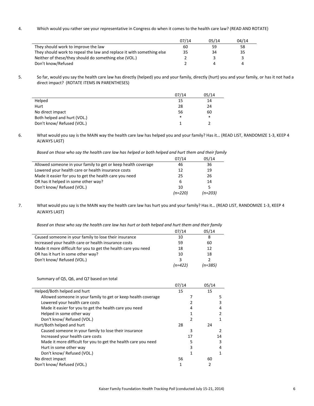4. Which would you rather see your representative in Congress do when it comes to the health care law? (READ AND ROTATE)

|                                                                       | 07/14 | 05/14 | 04/14 |
|-----------------------------------------------------------------------|-------|-------|-------|
| They should work to improve the law                                   | 60    | 59    | 58    |
| They should work to repeal the law and replace it with something else | 35    | 34    | 35    |
| Neither of these/they should do something else (VOL.)                 |       |       |       |
| Don't know/Refused                                                    |       |       |       |

5. So far, would you say the health care law has directly (helped) you and your family, directly (hurt) you and your family, or has it not had a direct impact? (ROTATE ITEMS IN PARENTHESES)

|                             | 07/14 | 05/14  |
|-----------------------------|-------|--------|
| Helped                      | 15    | 14     |
| Hurt                        | 28    | 24     |
| No direct impact            | 56    | 60     |
| Both helped and hurt (VOL.) | *     | $\ast$ |
| Don't know/ Refused (VOL.)  |       |        |

6. What would you say is the MAIN way the health care law has helped you and your family? Has it… (READ LIST, RANDOMIZE 1-3, KEEP 4 ALWAYS LAST)

*Based on those who say the health care law has helped or both helped and hurt them and their family*

|                                                               | 07/14     | 05/14     |
|---------------------------------------------------------------|-----------|-----------|
| Allowed someone in your family to get or keep health coverage | 46        | 36        |
| Lowered your health care or health insurance costs            | 12        | 19        |
| Made it easier for you to get the health care you need        | 25        | 26        |
| OR has it helped in some other way?                           | 6         | 14        |
| Don't know/ Refused (VOL.)                                    | 10        | 5         |
|                                                               | $(n=220)$ | $(n=203)$ |

7. What would you say is the MAIN way the health care law has hurt you and your family? Has it… (READ LIST, RANDOMIZE 1-3, KEEP 4 ALWAYS LAST)

*Based on those who say the health care law has hurt or both helped and hurt them and their family*

|                                                                | 07/14     | 05/14     |
|----------------------------------------------------------------|-----------|-----------|
| Caused someone in your family to lose their insurance          | 10        | 8         |
| Increased your health care or health insurance costs           | 59        | 60        |
| Made it more difficult for you to get the health care you need | 18        | 12        |
| OR has it hurt in some other way?                              | 10        | 18        |
| Don't know/ Refused (VOL.)                                     | 3         |           |
|                                                                | $(n=422)$ | $(n=385)$ |

Summary of Q5, Q6, and Q7 based on total

|                                                                | 07/14 | 05/14 |
|----------------------------------------------------------------|-------|-------|
| Helped/Both helped and hurt                                    | 15    | 15    |
| Allowed someone in your family to get or keep health coverage  |       | 5     |
| Lowered your health care costs                                 |       |       |
| Made it easier for you to get the health care you need         |       | 4     |
| Helped in some other way                                       |       |       |
| Don't know/ Refused (VOL.)                                     | 2     |       |
| Hurt/Both helped and hurt                                      | 28    | 24    |
| Caused someone in your family to lose their insurance          | 3     |       |
| Increased your health care costs                               | 17    | 14    |
| Made it more difficult for you to get the health care you need |       |       |
| Hurt in some other way                                         |       |       |
| Don't know/ Refused (VOL.)                                     |       |       |
| No direct impact                                               | 56    | 60    |
| Don't know/ Refused (VOL.)                                     |       |       |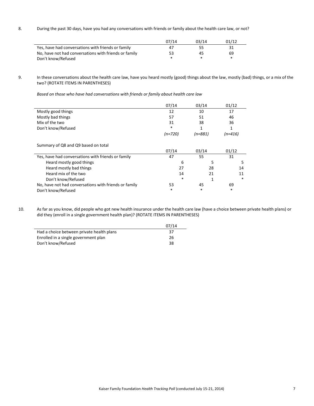8. During the past 30 days, have you had any conversations with friends or family about the health care law, or not?

|                                                       | 07/14 | 03/14 | 01/12 |
|-------------------------------------------------------|-------|-------|-------|
| Yes, have had conversations with friends or family    | 47    | 55    | 31    |
| No, have not had conversations with friends or family | 53    | 45    | 69    |
| Don't know/Refused                                    | ж     |       | *     |

9. In these conversations about the health care law, have you heard mostly (good) things about the law, mostly (bad) things, or a mix of the two? (ROTATE ITEMS IN PARENTHESES)

*Based on those who have had conversations with friends or family about health care law*

|                                                       | 07/14     | 03/14     | 01/12     |
|-------------------------------------------------------|-----------|-----------|-----------|
| Mostly good things                                    | 12        | 10        | 17        |
| Mostly bad things                                     | 57        | 51        | 46        |
| Mix of the two                                        | 31        | 38        | 36        |
| Don't know/Refused                                    | *         | 1         | 1         |
|                                                       | $(n=720)$ | $(n=881)$ | $(n=416)$ |
| Summary of Q8 and Q9 based on total                   |           |           |           |
|                                                       | 07/14     | 03/14     | 01/12     |
| Yes, have had conversations with friends or family    | 47        | 55        | 31        |
| Heard mostly good things                              | 6         | 5         | 5         |
| Heard mostly bad things                               | 27        | 28        | 14        |
| Heard mix of the two                                  | 14        | 21        | 11        |
| Don't know/Refused                                    | $\ast$    | 1         | *         |
| No, have not had conversations with friends or family | 53        | 45        | 69        |
| Don't know/Refused                                    | *         | $\ast$    | $\ast$    |

10. As far as you know, did people who got new health insurance under the health care law (have a choice between private health plans) or did they (enroll in a single government health plan)? (ROTATE ITEMS IN PARENTHESES)

|                                           | 07/14 |
|-------------------------------------------|-------|
| Had a choice between private health plans | 37    |
| Enrolled in a single government plan      | 26    |
| Don't know/Refused                        | 38    |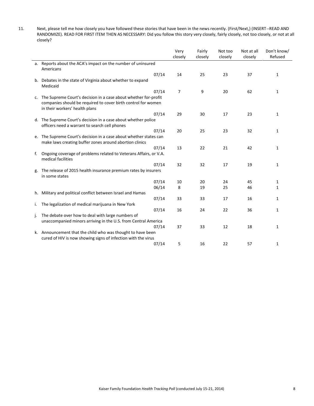11. Next, please tell me how closely you have followed these stories that have been in the news recently. (First/Next,) (INSERT--READ AND RANDOMIZE). READ FOR FIRST ITEM THEN AS NECESSARY: Did you follow this story very closely, fairly closely, not too closely, or not at all closely?

|    |                                                                                                                                                                    | Very    | Fairly  | Not too | Not at all | Don't know/  |
|----|--------------------------------------------------------------------------------------------------------------------------------------------------------------------|---------|---------|---------|------------|--------------|
|    |                                                                                                                                                                    | closely | closely | closely | closely    | Refused      |
|    | a. Reports about the ACA's impact on the number of uninsured<br>Americans                                                                                          |         |         |         |            |              |
|    | 07/14                                                                                                                                                              | 14      | 25      | 23      | 37         | $\mathbf{1}$ |
|    | b. Debates in the state of Virginia about whether to expand<br>Medicaid                                                                                            |         |         |         |            |              |
|    | 07/14                                                                                                                                                              | 7       | 9       | 20      | 62         | 1            |
| c. | The Supreme Court's decision in a case about whether for-profit<br>companies should be required to cover birth control for women<br>in their workers' health plans |         |         |         |            |              |
|    | 07/14                                                                                                                                                              | 29      | 30      | 17      | 23         | $\mathbf{1}$ |
|    | d. The Supreme Court's decision in a case about whether police<br>officers need a warrant to search cell phones                                                    |         |         |         |            |              |
|    | 07/14                                                                                                                                                              | 20      | 25      | 23      | 32         | 1            |
|    | e. The Supreme Court's decision in a case about whether states can<br>make laws creating buffer zones around abortion clinics                                      |         |         |         |            |              |
|    | 07/14                                                                                                                                                              | 13      | 22      | 21      | 42         | 1            |
| f. | Ongoing coverage of problems related to Veterans Affairs, or V.A.<br>medical facilities                                                                            |         |         |         |            |              |
|    | 07/14                                                                                                                                                              | 32      | 32      | 17      | 19         | 1            |
| g. | The release of 2015 health insurance premium rates by insurers<br>in some states                                                                                   |         |         |         |            |              |
|    | 07/14                                                                                                                                                              | 10      | 20      | 24      | 45         | 1            |
|    | 06/14                                                                                                                                                              | 8       | 19      | 25      | 46         | 1            |
| h. | Military and political conflict between Israel and Hamas                                                                                                           |         |         |         |            |              |
|    | 07/14                                                                                                                                                              | 33      | 33      | 17      | 16         | 1            |
| i. | The legalization of medical marijuana in New York                                                                                                                  |         |         |         |            |              |
|    | 07/14                                                                                                                                                              | 16      | 24      | 22      | 36         | 1            |
| j. | The debate over how to deal with large numbers of<br>unaccompanied minors arriving in the U.S. from Central America                                                |         |         |         |            |              |
|    | 07/14                                                                                                                                                              | 37      | 33      | 12      | 18         | 1            |
|    | k. Announcement that the child who was thought to have been                                                                                                        |         |         |         |            |              |
|    | cured of HIV is now showing signs of infection with the virus                                                                                                      |         |         |         |            |              |
|    | 07/14                                                                                                                                                              | 5       | 16      | 22      | 57         | 1            |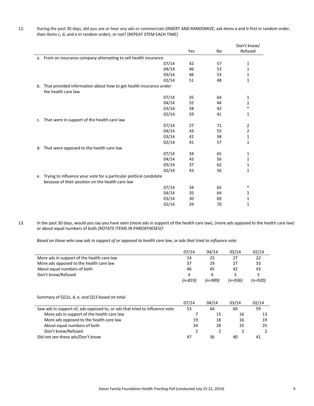| During the past 30 days, did you see or hear any ads or commercials (INSERT AND RANDOMIZE, ask items a and b first in random order, |
|-------------------------------------------------------------------------------------------------------------------------------------|
| then items c, d, and e in random order), or not? [REPEAT STEM EACH TIME]                                                            |

|    |                                                                                                                           |     |    | Don't know/    |
|----|---------------------------------------------------------------------------------------------------------------------------|-----|----|----------------|
|    |                                                                                                                           | Yes | No | Refused        |
|    | a. From an insurance company attempting to sell health insurance                                                          |     |    |                |
|    | 07/14                                                                                                                     | 42  | 57 | 1              |
|    | 04/14                                                                                                                     | 46  | 53 | 1              |
|    | 03/14                                                                                                                     | 46  | 53 | 1              |
|    | 02/14                                                                                                                     | 51  | 48 | 1              |
|    | b. That provided information about how to get health insurance under<br>the health care law                               |     |    |                |
|    | 07/14                                                                                                                     | 35  | 64 | 1              |
|    | 04/14                                                                                                                     | 55  | 44 | 1              |
|    | 03/14                                                                                                                     | 58  | 42 | $\ast$         |
|    | 02/14                                                                                                                     | 59  | 41 | 1              |
| c. | That were in support of the health care law                                                                               |     |    |                |
|    | 07/14                                                                                                                     | 27  | 71 | $\overline{2}$ |
|    | 04/14                                                                                                                     | 43  | 55 | 2              |
|    | 03/14                                                                                                                     | 41  | 58 | 1              |
|    | 02/14                                                                                                                     | 41  | 57 | 1              |
|    | d. That were opposed to the health care law                                                                               |     |    |                |
|    | 07/14                                                                                                                     | 34  | 65 | 1              |
|    | 04/14                                                                                                                     | 43  | 56 | 1              |
|    | 03/14                                                                                                                     | 37  | 62 | 1              |
|    | 02/14                                                                                                                     | 43  | 56 | 1              |
|    | e. Trying to influence your vote for a particular political candidate<br>because of their position on the health care law |     |    |                |
|    | 07/14                                                                                                                     | 34  | 65 | *              |
|    | 04/14                                                                                                                     | 35  | 64 | 1              |
|    | 03/14                                                                                                                     | 30  | 69 | 1              |
|    | 02/14                                                                                                                     | 29  | 70 | 1              |

13. In the past 30 days, would you say you have seen (more ads in support of the health care law), (more ads opposed to the health care law) or about equal numbers of both (ROTATE ITEMS IN PARENTHESES)?

*Based on those who saw ads in support of or opposed to health care law, or ads that tried to influence vote*

|                                            | 07/14     | 04/14     | 03/14   | 02/14     |
|--------------------------------------------|-----------|-----------|---------|-----------|
| More ads in support of the health care law | 14        | 23        | 27      |           |
| More ads opposed to the health care law    | 37        | 29        | 27      | 33        |
| About equal numbers of both                | 46        | 45        | 42      | 43        |
| Don't know/Refused                         | 4         | 4         |         |           |
|                                            | $(n=819)$ | $(n=989)$ | (n=936) | $(n=920)$ |

Summary of Q12c, d, e, and Q13 based on total

|                                                                            | 07/14 | 04/14 | 03/14 | 02/14 |
|----------------------------------------------------------------------------|-------|-------|-------|-------|
| Saw ads in support of, ads opposed to, or ads that tried to influence vote | 53    | 64    | 60    | 59    |
| More ads in support of the health care law                                 |       | 15    | 16    | 13    |
| More ads opposed to the health care law                                    | 19    | 18    | 16    | 19    |
| About equal numbers of both                                                | 24    | 28    | 25    | 25    |
| Don't know/Refused                                                         |       |       |       |       |
| Did not see these ads/Don't know                                           | 47    | 36    | 40    |       |
|                                                                            |       |       |       |       |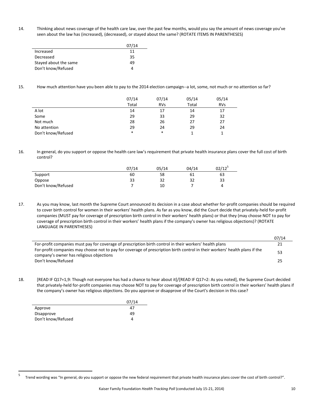14. Thinking about news coverage of the health care law, over the past few months, would you say the amount of news coverage you've seen about the law has (increased), (decreased), or stayed about the same? (ROTATE ITEMS IN PARENTHESES)

|                       | 07/14 |
|-----------------------|-------|
| Increased             | 11    |
| Decreased             | 35    |
| Stayed about the same | 49    |
| Don't know/Refused    |       |

15. How much attention have you been able to pay to the 2014 election campaign--a lot, some, not much or no attention so far?

|                    | 07/14  | 07/14      | 05/14 | 05/14      |
|--------------------|--------|------------|-------|------------|
|                    | Total  | <b>RVs</b> | Total | <b>RVs</b> |
| A lot              | 14     | 17         | 14    | 17         |
| Some               | 29     | 33         | 29    | 32         |
| Not much           | 28     | 26         | 27    | 27         |
| No attention       | 29     | 24         | 29    | 24         |
| Don't know/Refused | $\ast$ | $\ast$     |       |            |

16. In general, do you support or oppose the health care law's requirement that private health insurance plans cover the full cost of birth control?

|                    | 07/14 | 05/14 | 04/14 | $02/12$ <sup>5</sup> |
|--------------------|-------|-------|-------|----------------------|
| Support            | 60    | 58    | 61    | 63                   |
| Oppose             | 33    | 32    | 32    | 33                   |
| Don't know/Refused |       | 10    |       | Д                    |

17. As you may know, last month the Supreme Court announced its decision in a case about whether for-profit companies should be required to cover birth control for women in their workers' health plans. As far as you know, did the Court decide that privately-held for-profit companies (MUST pay for coverage of prescription birth control in their workers' health plans) or that they (may choose NOT to pay for coverage of prescription birth control in their workers' health plans if the company's owner has religious objections)? (ROTATE LANGUAGE IN PARENTHESES)

|                                                                                                                                                                         | 07/14 |
|-------------------------------------------------------------------------------------------------------------------------------------------------------------------------|-------|
| For-profit companies must pay for coverage of prescription birth control in their workers' health plans                                                                 |       |
| For-profit companies may choose not to pay for coverage of prescription birth control in their workers' health plans if the<br>company's owner has religious objections | 53    |
| Don't know/Refused                                                                                                                                                      |       |

18. [READ IF Q17=1,9: Though not everyone has had a chance to hear about it]/[READ IF Q17=2: As you noted], the Supreme Court decided that privately-held for-profit companies may choose NOT to pay for coverage of prescription birth control in their workers' health plans if the company's owner has religious objections. Do you approve or disapprove of the Court's decision in this case?

|                    | 07/14 |
|--------------------|-------|
| Approve            | 47    |
| Disapprove         | 49    |
| Don't know/Refused | Δ     |

<sup>-&</sup>lt;br>5 Trend wording was "In general, do you support or oppose the new federal requirement that private health insurance plans cover the cost of birth control?".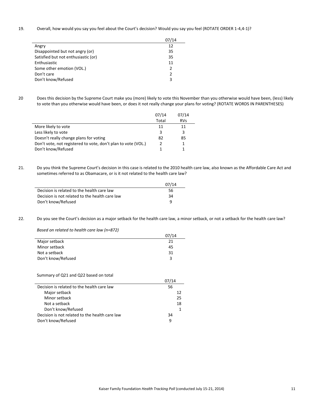19. Overall, how would you say you feel about the Court's decision? Would you say you feel (ROTATE ORDER 1-4,4-1)?

|                                     | 07/14 |
|-------------------------------------|-------|
| Angry                               | 12    |
| Disappointed but not angry (or)     | 35    |
| Satisfied but not enthusiastic (or) | 35    |
| Enthusiastic                        | 11    |
| Some other emotion (VOL.)           | っ     |
| Don't care                          |       |
| Don't know/Refused                  | 3     |

20 Does this decision by the Supreme Court make you (more) likely to vote this November than you otherwise would have been, (less) likely to vote than you otherwise would have been, or does it not really change your plans for voting? (ROTATE WORDS IN PARENTHESES)

|                                                               | 07/14 | 07/14      |
|---------------------------------------------------------------|-------|------------|
|                                                               | Total | <b>RVs</b> |
| More likely to vote                                           | 11    | 11         |
| Less likely to vote                                           | 3     |            |
| Doesn't really change plans for voting                        | 82    | 85         |
| Don't vote, not registered to vote, don't plan to vote (VOL.) |       |            |
| Don't know/Refused                                            |       |            |

21. Do you think the Supreme Court's decision in this case is related to the 2010 health care law, also known as the Affordable Care Act and sometimes referred to as Obamacare, or is it not related to the health care law?

|                                                | 07/14 |
|------------------------------------------------|-------|
| Decision is related to the health care law     | 56    |
| Decision is not related to the health care law | 34    |
| Don't know/Refused                             | q     |

22. Do you see the Court's decision as a major setback for the health care law, a minor setback, or not a setback for the health care law?

*Based on related to health care law (n=872)*

|                    | 07/14 |
|--------------------|-------|
| Major setback      | 21    |
| Minor setback      | 45    |
| Not a setback      | 31    |
| Don't know/Refused | ર     |

### Summary of Q21 and Q22 based on total

|                                                | 07/14 |    |
|------------------------------------------------|-------|----|
| Decision is related to the health care law     | 56    |    |
| Major setback                                  |       | 12 |
| Minor setback                                  |       | 25 |
| Not a setback                                  |       | 18 |
| Don't know/Refused                             |       |    |
| Decision is not related to the health care law | 34    |    |
| Don't know/Refused                             | q     |    |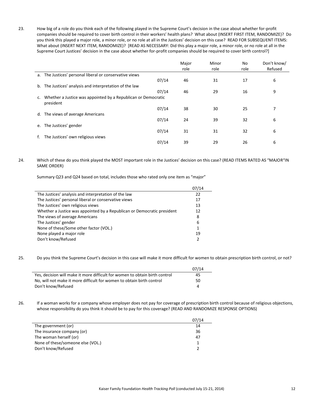23. How big of a role do you think each of the following played in the Supreme Court's decision in the case about whether for-profit companies should be required to cover birth control in their workers' health plans? What about (INSERT FIRST ITEM, RANDOMIZE)? Do you think this played a major role, a minor role, or no role at all in the Justices' decision on this case? READ FOR SUBSEQUENT ITEMS: What about (INSERT NEXT ITEM, RANDOMIZE)? [READ AS NECESSARY: Did this play a major role, a minor role, or no role at all in the Supreme Court Justices' decision in the case about whether for-profit companies should be required to cover birth control?]

|    |                                                                            | Major        | Minor | No   | Don't know/ |
|----|----------------------------------------------------------------------------|--------------|-------|------|-------------|
|    |                                                                            | role<br>role |       | role | Refused     |
|    | a. The Justices' personal liberal or conservative views                    |              |       |      |             |
|    | 07/14                                                                      | 46           | 31    | 17   | 6           |
|    | b. The Justices' analysis and interpretation of the law                    |              |       |      |             |
|    | 07/14                                                                      | 46           | 29    | 16   | 9           |
| C. | Whether a Justice was appointed by a Republican or Democratic<br>president |              |       |      |             |
|    | 07/14                                                                      | 38           | 30    | 25   | 7           |
| d. | The views of average Americans                                             |              |       |      |             |
|    | 07/14                                                                      | 24           | 39    | 32   | 6           |
|    | e. The Justices' gender                                                    |              |       |      |             |
|    | 07/14                                                                      | 31           | 31    | 32   | 6           |
|    | The Justices' own religious views                                          |              |       |      |             |
|    | 07/14                                                                      | 39           | 29    | 26   | 6           |

## 24. Which of these do you think played the MOST important role in the Justices' decision on this case? (READ ITEMS RATED AS "MAJOR"IN SAME ORDER)

Summary Q23 and Q24 based on total, includes those who rated only one item as "major"

|                                                                         | 07/14          |
|-------------------------------------------------------------------------|----------------|
| The Justices' analysis and interpretation of the law                    | 22             |
| The Justices' personal liberal or conservative views                    | 17             |
| The Justices' own religious views                                       | 13             |
| Whether a Justice was appointed by a Republican or Democratic president | 12             |
| The views of average Americans                                          | 8              |
| The Justices' gender                                                    | 6              |
| None of these/Some other factor (VOL.)                                  | $\mathbf{1}$   |
| None played a major role                                                | 19             |
| Don't know/Refused                                                      | $\mathfrak{p}$ |

25. Do you think the Supreme Court's decision in this case will make it more difficult for women to obtain prescription birth control, or not?

|                                                                             | 07/14 |
|-----------------------------------------------------------------------------|-------|
| Yes, decision will make it more difficult for women to obtain birth control | 45.   |
| No, will not make it more difficult for women to obtain birth control       | 50    |
| Don't know/Refused                                                          |       |

26. If a woman works for a company whose employer does not pay for coverage of prescription birth control because of religious objections, whose responsibility do you think it should be to pay for this coverage? (READ AND RANDOMIZE RESPONSE OPTIONS)

|                                   | 07/14 |
|-----------------------------------|-------|
| The government (or)               | 14    |
| The insurance company (or)        | 36    |
| The woman herself (or)            | 47    |
| None of these/someone else (VOL.) |       |
| Don't know/Refused                |       |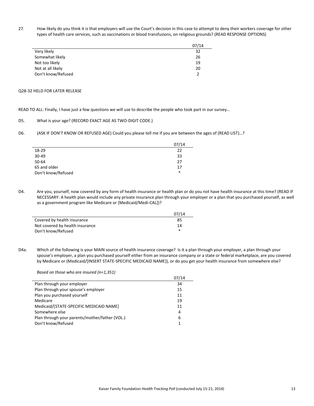27. How likely do you think it is that employers will use the Court's decision in this case to attempt to deny their workers coverage for other types of health care services, such as vaccinations or blood transfusions, on religious grounds? (READ RESPONSE OPTIONS)

|                    | 07/14 |
|--------------------|-------|
| Very likely        | 32    |
| Somewhat likely    | 26    |
| Not too likely     | 19    |
| Not at all likely  | 20    |
| Don't know/Refused |       |

### Q28-32 HELD FOR LATER RELEASE

 $\overline{\phantom{a}}$ 

READ TO ALL: Finally, I have just a few questions we will use to describe the people who took part in our survey…

#### D5. What is your age? (RECORD EXACT AGE AS TWO-DIGIT CODE.)

D6. (ASK IF DON'T KNOW OR REFUSED AGE) Could you please tell me if you are between the ages of (READ LIST)…?

|                    | 07/14  |
|--------------------|--------|
| 18-29              | 22     |
| 30-49              | 33     |
| 50-64              | 27     |
| 65 and older       | 17     |
| Don't know/Refused | $\ast$ |

D4. Are you, yourself, now covered by any form of health insurance or health plan or do you not have health insurance at this time? (READ IF NECESSARY: A health plan would include any private insurance plan through your employer or a plan that you purchased yourself, as well as a government program like Medicare or [Medicaid/Medi-CAL])?

|                                 | 07/14 |
|---------------------------------|-------|
| Covered by health insurance     | 85    |
| Not covered by health insurance | 14    |
| Don't know/Refused              | *     |

D4a. Which of the following is your MAIN source of health insurance coverage? Is it a plan through your employer, a plan through your spouse's employer, a plan you purchased yourself either from an insurance company or a state or federal marketplace, are you covered by Medicare or (Medicaid/[INSERT STATE-SPECIFIC MEDICAID NAME]), or do you get your health insurance from somewhere else?

*Based on those who are insured (n=1,351)*

|                                                | 07/14 |
|------------------------------------------------|-------|
| Plan through your employer                     | 34    |
| Plan through your spouse's employer            | 15    |
| Plan you purchased yourself                    | 11    |
| Medicare                                       | 19    |
| Medicaid/[STATE-SPECIFIC MEDICAID NAME]        | 11    |
| Somewhere else                                 | 4     |
| Plan through your parents/mother/father (VOL.) | 6     |
| Don't know/Refused                             | 1     |
|                                                |       |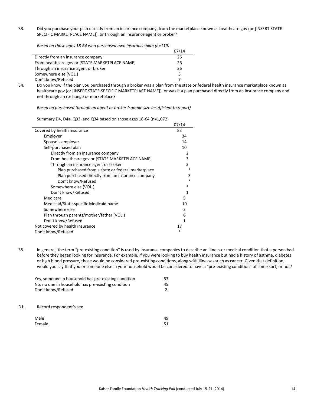33. Did you purchase your plan directly from an insurance company, from the marketplace known as healthcare.gov (or [INSERT STATE-SPECIFIC MARKETPLACE NAME]), or through an insurance agent or broker?

*Based on those ages 18-64 who purchased own insurance plan (n=119)*

|                                                 | 07/14 |
|-------------------------------------------------|-------|
| Directly from an insurance company              | 26    |
| From healthcare.gov or [STATE MARKETPLACE NAME] | 26    |
| Through an insurance agent or broker            | 36    |
| Somewhere else (VOL.)                           | 5     |
| Don't know/Refused                              |       |

34. Do you know if the plan you purchased through a broker was a plan from the state or federal health insurance marketplace known as healthcare.gov (or [INSERT STATE-SPECIFIC MARKETPLACE NAME]), or was it a plan purchased directly from an insurance company and not through an exchange or marketplace?

*Based on purchased through an agent or broker (sample size insufficient to report)*

Summary D4, D4a, Q33, and Q34 based on those ages 18-64 (n=1,072)

|                                                    | 07/14  |
|----------------------------------------------------|--------|
| Covered by health insurance                        | 83     |
| Employer                                           | 34     |
| Spouse's employer                                  | 14     |
| Self-purchased plan                                | 10     |
| Directly from an insurance company                 | 2      |
| From healthcare.gov or [STATE MARKETPLACE NAME]    | 3      |
| Through an insurance agent or broker               | 3      |
| Plan purchased from a state or federal marketplace | $\ast$ |
| Plan purchased directly from an insurance company  | 3      |
| Don't know/Refused                                 | $\ast$ |
| Somewhere else (VOL.)                              | *      |
| Don't know/Refused                                 | 1      |
| Medicare                                           | 5      |
| Medicaid/State-specific Medicaid name              | 10     |
| Somewhere else                                     | 3      |
| Plan through parents/mother/father (VOL.)          | 6      |
| Don't know/Refused                                 | 1      |
| Not covered by health insurance                    | 17     |
| Don't know/Refused                                 | *      |

35. In general, the term "pre-existing condition" is used by insurance companies to describe an illness or medical condition that a person had before they began looking for insurance. For example, if you were looking to buy health insurance but had a history of asthma, diabetes or high blood pressure, those would be considered pre-existing conditions, along with illnesses such as cancer. Given that definition, would you say that you or someone else in your household would be considered to have a "pre-existing condition" of some sort, or not?

|     | Yes, someone in household has pre-existing condition<br>No, no one in household has pre-existing condition<br>Don't know/Refused | 53<br>45 |
|-----|----------------------------------------------------------------------------------------------------------------------------------|----------|
| D1. | Record respondent's sex                                                                                                          |          |
|     | Male                                                                                                                             |          |

Female 51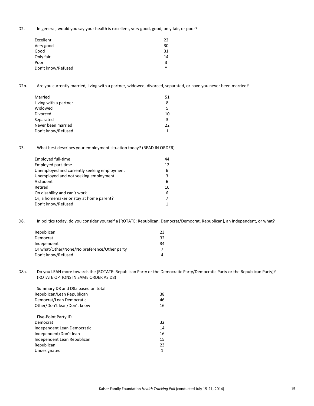D2. In general, would you say your health is excellent, very good, good, only fair, or poor?

| Excellent          | 22  |
|--------------------|-----|
| Very good          | 30  |
| Good               | 31  |
| Only fair          | 14  |
| Poor               | 3   |
| Don't know/Refused | $*$ |

D2b. Are you currently married, living with a partner, widowed, divorced, separated, or have you never been married?

| Married               | 51 |
|-----------------------|----|
| Living with a partner |    |
| Widowed               |    |
| <b>Divorced</b>       | 10 |
| Separated             | ર  |
| Never been married    | 22 |
| Don't know/Refused    |    |

D3. What best describes your employment situation today? (READ IN ORDER)

| Employed full-time                          | 44 |
|---------------------------------------------|----|
| Employed part-time                          | 12 |
| Unemployed and currently seeking employment | 6  |
| Unemployed and not seeking employment       | 3  |
| A student                                   | 6  |
| Retired                                     | 16 |
| On disability and can't work                | 6  |
| Or, a homemaker or stay at home parent?     |    |
| Don't know/Refused                          |    |

D8. In politics today, do you consider yourself a [ROTATE: Republican, Democrat/Democrat, Republican], an Independent, or what?

| 23 |
|----|
| 32 |
| 34 |
|    |
|    |
|    |

D8a. Do you LEAN more towards the [ROTATE: Republican Party or the Democratic Party/Democratic Party or the Republican Party]? (ROTATE OPTIONS IN SAME ORDER AS D8)

| Summary D8 and D8a based on total |    |
|-----------------------------------|----|
| Republican/Lean Republican        | 38 |
| Democrat/Lean Democratic          | 46 |
| Other/Don't lean/Don't know       | 16 |
|                                   |    |
| Five-Point Party ID               |    |
| Democrat                          | 32 |
| Independent Lean Democratic       | 14 |
| Independent/Don't lean            | 16 |
| Independent Lean Republican       | 15 |
| Republican                        | 23 |
| Undesignated                      | 1  |
|                                   |    |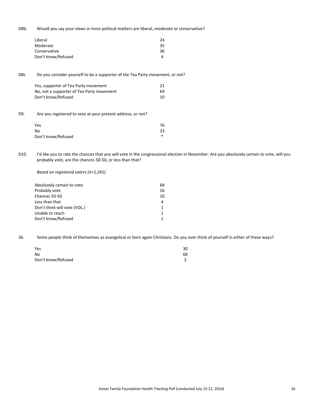D8b. Would you say your views in most political matters are liberal, moderate or conservative?

| Liberal            | 24 |
|--------------------|----|
| Moderate           | 35 |
| Conservative       | 36 |
| Don't know/Refused |    |

D8c Do you consider yourself to be a supporter of the Tea Party movement, or not?

| Yes, supporter of Tea Party movement      | 21 |
|-------------------------------------------|----|
| No, not a supporter of Tea Party movement | 69 |
| Don't know/Refused                        | 10 |

D9. Are you registered to vote at your present address, or not?

| 76 |
|----|
| 23 |
| *  |
|    |

D10. I'd like you to rate the chances that you will vote in the congressional election in November: Are you absolutely certain to vote, will you probably vote, are the chances 50-50, or less than that?

*Based on registered voters (n=1,241)*

| 68 |
|----|
| 16 |
| 10 |
| 4  |
|    |
|    |
|    |
|    |

36. Some people think of themselves as evangelical or born again Christians. Do you ever think of yourself in either of these ways?

| Yes                | 30 |
|--------------------|----|
| No                 | 68 |
| Don't know/Refused |    |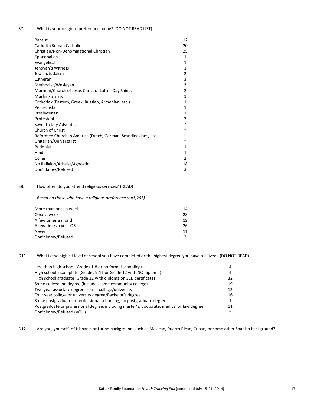37. What is your religious preference today? (DO NOT READ LIST)

| <b>Baptist</b>                                                  | 12 |
|-----------------------------------------------------------------|----|
| Catholic/Roman Catholic                                         | 20 |
| Christian/Non-Denominational Christian                          | 25 |
| Episcopalian                                                    | 1  |
| Evangelical                                                     | 1  |
| Jehovah's Witness                                               | 1  |
| Jewish/Judaism                                                  | 2  |
| Lutheran                                                        | 3  |
| Methodist/Wesleyan                                              | 3  |
| Mormon/Church of Jesus Christ of Latter-Day Saints              | 2  |
| Muslim/Islamic                                                  | 1  |
| Orthodox (Eastern, Greek, Russian, Armenian, etc.)              | 1  |
| Pentecostal                                                     | 1  |
| Presbyterian                                                    | 1  |
| Protestant                                                      | 3  |
| Seventh Day Adventist                                           | *  |
| Church of Christ                                                | *  |
| Reformed Church in America (Dutch, German, Scandinavians, etc.) | *  |
| Unitarian/Universalist                                          | *  |
| <b>Buddhist</b>                                                 | 1  |
| Hindu                                                           | 1  |
| Other                                                           | 2  |
| No Religion/Atheist/Agnostic                                    | 18 |
| Don't know/Refused                                              | 3  |

### 38. How often do you attend religious services? (READ)

*Based on those who have a religious preference (n=1,263)*

| More than once a week | 14  |
|-----------------------|-----|
| Once a week           | 28  |
| A few times a month   | 19  |
| A few times a year OR | 26. |
| Never                 | 11  |
| Don't know/Refused    |     |
|                       |     |

#### D11. What is the highest level of school you have completed or the highest degree you have received? (DO NOT READ)

| Less than high school (Grades 1-8 or no formal schooling)                                 | 4      |
|-------------------------------------------------------------------------------------------|--------|
| High school incomplete (Grades 9-11 or Grade 12 with NO diploma)                          | 4      |
| High school graduate (Grade 12 with diploma or GED certificate)                           | 32     |
| Some college, no degree (includes some community college)                                 | 19     |
| Two year associate degree from a college/university                                       | 12     |
| Four year college or university degree/Bachelor's degree                                  | 16     |
| Some postgraduate or professional schooling, no postgraduate degree                       | 1      |
| Postgraduate or professional degree, including master's, doctorate, medical or law degree | 11     |
| Don't know/Refused (VOL.)                                                                 | $\ast$ |
|                                                                                           |        |

D12. Are you, yourself, of Hispanic or Latino background, such as Mexican, Puerto Rican, Cuban, or some other Spanish background?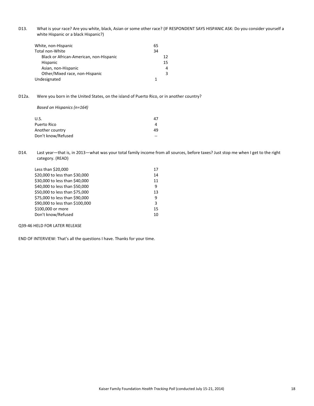D13. What is your race? Are you white, black, Asian or some other race? (IF RESPONDENT SAYS HISPANIC ASK: Do you consider yourself a white Hispanic or a black Hispanic?)

| White, non-Hispanic                     | 65 |
|-----------------------------------------|----|
| Total non-White                         | 34 |
| Black or African-American, non-Hispanic | 12 |
| Hispanic                                | 15 |
| Asian, non-Hispanic                     | 4  |
| Other/Mixed race, non-Hispanic          |    |
| Undesignated                            |    |

D12a. Were you born in the United States, on the island of Puerto Rico, or in another country?

*Based on Hispanics (n=164)*

| U.S.               | 47 |
|--------------------|----|
| Puerto Rico        |    |
| Another country    | 49 |
| Don't know/Refused | -- |

D14. Last year—that is, in 2013—what was your total family income from all sources, before taxes? Just stop me when I get to the right category. (READ)

| Less than \$20,000              | 17 |
|---------------------------------|----|
| \$20,000 to less than \$30,000  | 14 |
| \$30,000 to less than \$40,000  | 11 |
| \$40,000 to less than \$50,000  | 9  |
| \$50,000 to less than \$75,000  | 13 |
| \$75,000 to less than \$90,000  | 9  |
| \$90,000 to less than \$100,000 | 3  |
| \$100,000 or more               | 15 |
| Don't know/Refused              | 10 |
|                                 |    |

Q39-46 HELD FOR LATER RELEASE

END OF INTERVIEW: That's all the questions I have. Thanks for your time.